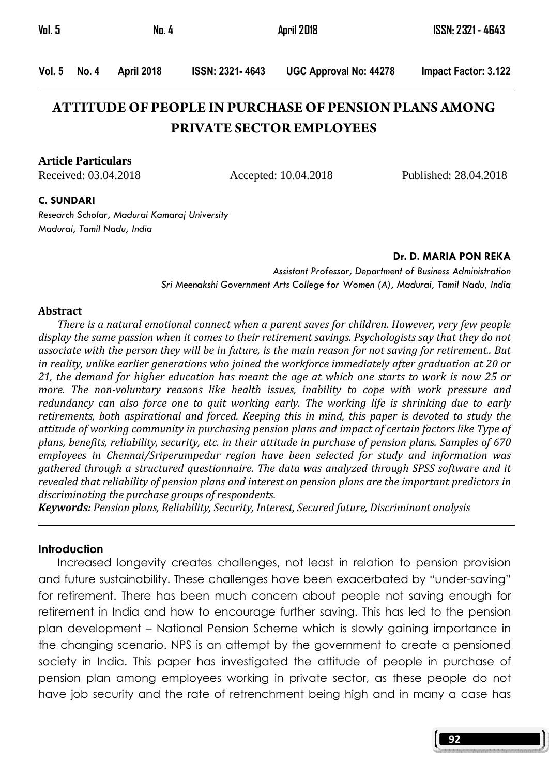| Vol. 5 | No. 4 | <b>April 2018</b> | <b>ISSN: 2321 - 4643</b> |
|--------|-------|-------------------|--------------------------|
|        |       |                   |                          |

Vol. 5 No. 4 April 2018 ISSN: 2321- 4643 UGC Approval No: 44278 Impact Factor: 3.122

# **ATTITUDE OF PEOPLE IN PURCHASE OF PENSION PLANS AMONG PRIVATE SECTOR EMPLOYEES**

**Article Particulars**

Received: 03.04.2018 Accepted: 10.04.2018 Published: 28.04.2018

#### C. SUNDARI

Research Scholar, Madurai Kamaraj University Madurai, Tamil Nadu, India

#### Dr. D. MARIA PON REKA

Assistant Professor, Department of Business Administration Sri Meenakshi Government Arts College for Women (A), Madurai, Tamil Nadu, India

#### Abstract

 There is a natural emotional connect when a parent saves for children. However, very few people display the same passion when it comes to their retirement savings. Psychologists say that they do not associate with the person they will be in future, is the main reason for not saving for retirement.. But in reality, unlike earlier generations who joined the workforce immediately after graduation at 20 or 21, the demand for higher education has meant the age at which one starts to work is now 25 or more. The non-voluntary reasons like health issues, inability to cope with work pressure and redundancy can also force one to quit working early. The working life is shrinking due to early retirements, both aspirational and forced. Keeping this in mind, this paper is devoted to study the attitude of working community in purchasing pension plans and impact of certain factors like Type of plans, benefits, reliability, security, etc. in their attitude in purchase of pension plans. Samples of 670 employees in Chennai/Sriperumpedur region have been selected for study and information was gathered through a structured questionnaire. The data was analyzed through SPSS software and it revealed that reliability of pension plans and interest on pension plans are the important predictors in discriminating the purchase groups of respondents.

Keywords: Pension plans, Reliability, Security, Interest, Secured future, Discriminant analysis

#### **Introduction**

 Increased longevity creates challenges, not least in relation to pension provision and future sustainability. These challenges have been exacerbated by "under-saving" for retirement. There has been much concern about people not saving enough for retirement in India and how to encourage further saving. This has led to the pension plan development – National Pension Scheme which is slowly gaining importance in the changing scenario. NPS is an attempt by the government to create a pensioned society in India. This paper has investigated the attitude of people in purchase of pension plan among employees working in private sector, as these people do not have job security and the rate of retrenchment being high and in many a case has

92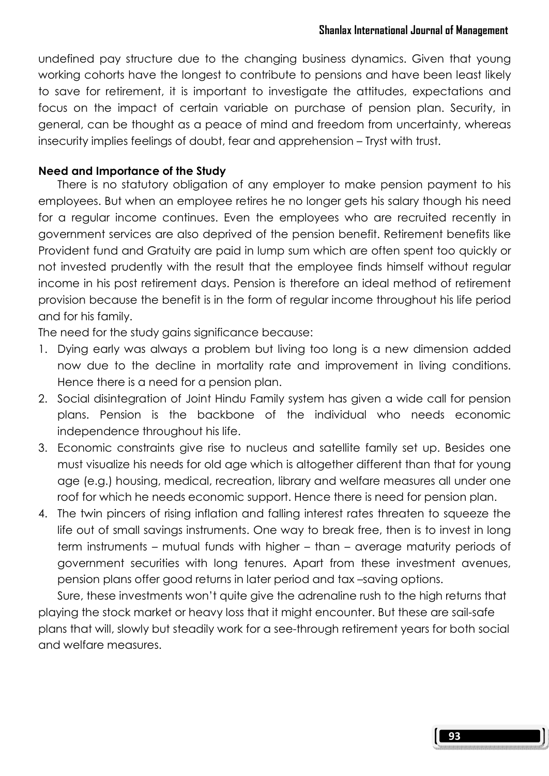undefined pay structure due to the changing business dynamics. Given that young working cohorts have the longest to contribute to pensions and have been least likely to save for retirement, it is important to investigate the attitudes, expectations and focus on the impact of certain variable on purchase of pension plan. Security, in general, can be thought as a peace of mind and freedom from uncertainty, whereas insecurity implies feelings of doubt, fear and apprehension – Tryst with trust.

### Need and Importance of the Study

There is no statutory obligation of any employer to make pension payment to his employees. But when an employee retires he no longer gets his salary though his need for a regular income continues. Even the employees who are recruited recently in government services are also deprived of the pension benefit. Retirement benefits like Provident fund and Gratuity are paid in lump sum which are often spent too quickly or not invested prudently with the result that the employee finds himself without regular income in his post retirement days. Pension is therefore an ideal method of retirement provision because the benefit is in the form of regular income throughout his life period and for his family.

The need for the study gains significance because:

- 1. Dying early was always a problem but living too long is a new dimension added now due to the decline in mortality rate and improvement in living conditions. Hence there is a need for a pension plan.
- 2. Social disintegration of Joint Hindu Family system has given a wide call for pension plans. Pension is the backbone of the individual who needs economic independence throughout his life.
- 3. Economic constraints give rise to nucleus and satellite family set up. Besides one must visualize his needs for old age which is altogether different than that for young age (e.g.) housing, medical, recreation, library and welfare measures all under one roof for which he needs economic support. Hence there is need for pension plan.
- 4. The twin pincers of rising inflation and falling interest rates threaten to squeeze the life out of small savings instruments. One way to break free, then is to invest in long term instruments – mutual funds with higher – than – average maturity periods of government securities with long tenures. Apart from these investment avenues, pension plans offer good returns in later period and tax –saving options.

 Sure, these investments won't quite give the adrenaline rush to the high returns that playing the stock market or heavy loss that it might encounter. But these are sail-safe plans that will, slowly but steadily work for a see-through retirement years for both social and welfare measures.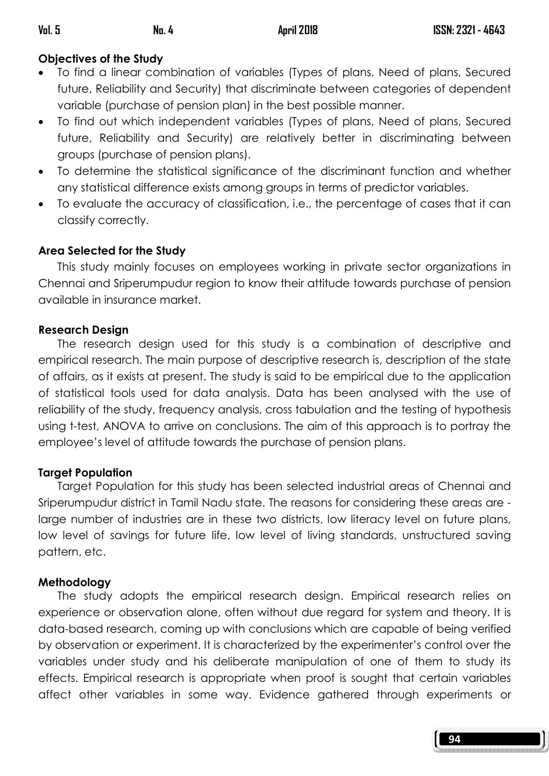## Objectives of the Study

- To find a linear combination of variables (Types of plans, Need of plans, Secured future, Reliability and Security) that discriminate between categories of dependent variable (purchase of pension plan) in the best possible manner.
- To find out which independent variables (Types of plans, Need of plans, Secured future, Reliability and Security) are relatively better in discriminating between groups (purchase of pension plans).
- To determine the statistical significance of the discriminant function and whether any statistical difference exists among groups in terms of predictor variables.
- To evaluate the accuracy of classification, i.e., the percentage of cases that it can classify correctly.

## Area Selected for the Study

 This study mainly focuses on employees working in private sector organizations in Chennai and Sriperumpudur region to know their attitude towards purchase of pension available in insurance market.

## Research Design

 The research design used for this study is a combination of descriptive and empirical research. The main purpose of descriptive research is, description of the state of affairs, as it exists at present. The study is said to be empirical due to the application of statistical tools used for data analysis. Data has been analysed with the use of reliability of the study, frequency analysis, cross tabulation and the testing of hypothesis using t-test, ANOVA to arrive on conclusions. The aim of this approach is to portray the employee's level of attitude towards the purchase of pension plans.

## **Target Population**

 Target Population for this study has been selected industrial areas of Chennai and Sriperumpudur district in Tamil Nadu state. The reasons for considering these areas are large number of industries are in these two districts, low literacy level on future plans, low level of savings for future life, low level of living standards, unstructured saving pattern, etc.

## Methodology

 The study adopts the empirical research design. Empirical research relies on experience or observation alone, often without due regard for system and theory. It is data-based research, coming up with conclusions which are capable of being verified by observation or experiment. It is characterized by the experimenter's control over the variables under study and his deliberate manipulation of one of them to study its effects. Empirical research is appropriate when proof is sought that certain variables affect other variables in some way. Evidence gathered through experiments or

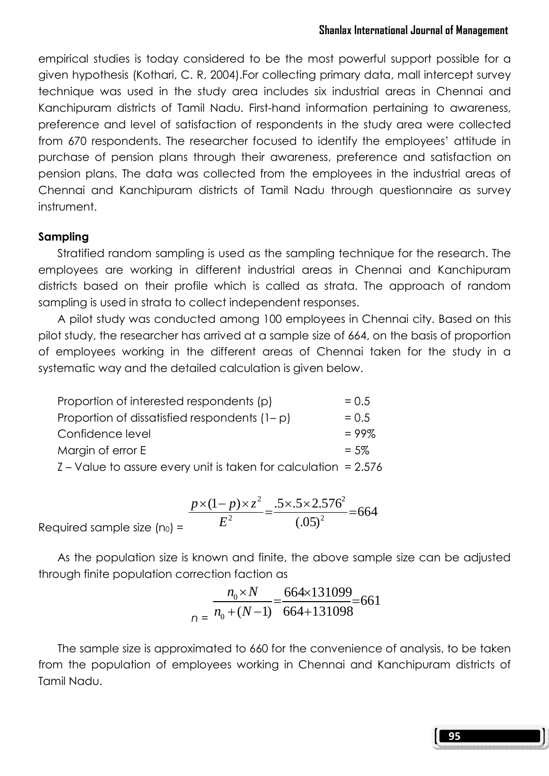empirical studies is today considered to be the most powerful support possible for a given hypothesis (Kothari, C. R, 2004).For collecting primary data, mall intercept survey technique was used in the study area includes six industrial areas in Chennai and Kanchipuram districts of Tamil Nadu. First-hand information pertaining to awareness, preference and level of satisfaction of respondents in the study area were collected from 670 respondents. The researcher focused to identify the employees' attitude in purchase of pension plans through their awareness, preference and satisfaction on pension plans. The data was collected from the employees in the industrial areas of Chennai and Kanchipuram districts of Tamil Nadu through questionnaire as survey instrument.

## Sampling

 Stratified random sampling is used as the sampling technique for the research. The employees are working in different industrial areas in Chennai and Kanchipuram districts based on their profile which is called as strata. The approach of random sampling is used in strata to collect independent responses.

 A pilot study was conducted among 100 employees in Chennai city. Based on this pilot study, the researcher has arrived at a sample size of 664, on the basis of proportion of employees working in the different areas of Chennai taken for the study in a systematic way and the detailed calculation is given below.

| Proportion of interested respondents (p)                          | $= 0.5$  |
|-------------------------------------------------------------------|----------|
| Proportion of dissatisfied respondents $(1-p)$                    | $= 0.5$  |
| Confidence level                                                  | $= 99\%$ |
| Margin of error E                                                 | $= 5\%$  |
| $Z$ – Value to assure every unit is taken for calculation = 2.576 |          |

$$
= \frac{p \times (1-p) \times z^2}{E^2} = \frac{.5 \times .5 \times 2.576^2}{(.05)^2} = 664
$$

Required sample size  $(n_0)$ 

 As the population size is known and finite, the above sample size can be adjusted through finite population correction faction as

$$
\frac{n_0 \times N}{n_0 + (N-1)} = \frac{664 \times 131099}{664 + 131098} = 661
$$

 The sample size is approximated to 660 for the convenience of analysis, to be taken from the population of employees working in Chennai and Kanchipuram districts of Tamil Nadu.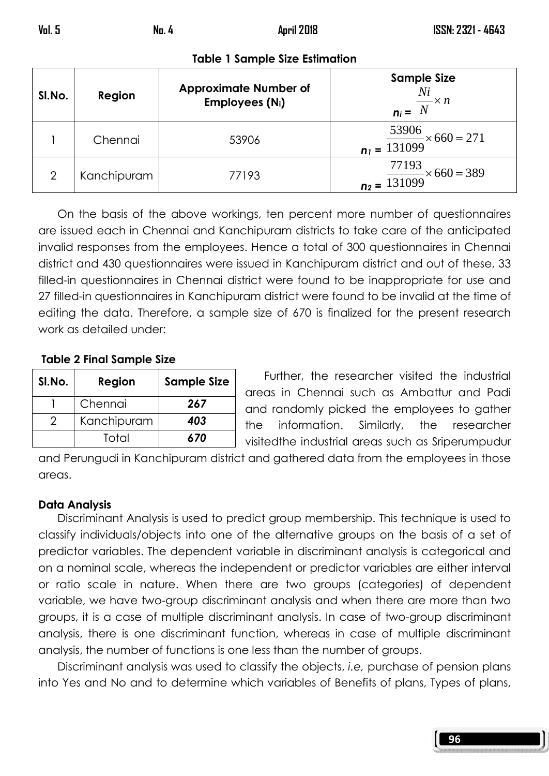| SI.No. | Region      | <b>Approximate Number of</b><br>Employees (N <sub>i</sub> ) | <b>Sample Size</b><br>Ni<br>$n_i = \frac{N_i}{N} \times n$  |
|--------|-------------|-------------------------------------------------------------|-------------------------------------------------------------|
|        | Chennai     | 53906                                                       | $\frac{53906}{n_1} = \frac{53906}{131099} \times 660 = 271$ |
| 2      | Kanchipuram | 77193                                                       | $\frac{77193}{2} \times 660 = 389$<br>$n_2 = 131099$        |

Table 1 Sample Size Estimation

 On the basis of the above workings, ten percent more number of questionnaires are issued each in Chennai and Kanchipuram districts to take care of the anticipated invalid responses from the employees. Hence a total of 300 questionnaires in Chennai district and 430 questionnaires were issued in Kanchipuram district and out of these, 33 filled-in questionnaires in Chennai district were found to be inappropriate for use and 27 filled-in questionnaires in Kanchipuram district were found to be invalid at the time of editing the data. Therefore, a sample size of 670 is finalized for the present research work as detailed under:

#### Table 2 Final Sample Size

| SI.No. | Region      | <b>Sample Size</b> |
|--------|-------------|--------------------|
|        | Chennai     | 267                |
| 2      | Kanchipuram | 403                |
|        | Total       | 670                |

 Further, the researcher visited the industrial areas in Chennai such as Ambattur and Padi and randomly picked the employees to gather the information. Similarly, the researcher visitedthe industrial areas such as Sriperumpudur

and Perungudi in Kanchipuram district and gathered data from the employees in those areas.

#### Data Analysis

 Discriminant Analysis is used to predict group membership. This technique is used to classify individuals/objects into one of the alternative groups on the basis of a set of predictor variables. The dependent variable in discriminant analysis is categorical and on a nominal scale, whereas the independent or predictor variables are either interval or ratio scale in nature. When there are two groups (categories) of dependent variable, we have two-group discriminant analysis and when there are more than two groups, it is a case of multiple discriminant analysis. In case of two-group discriminant analysis, there is one discriminant function, whereas in case of multiple discriminant analysis, the number of functions is one less than the number of groups.

 Discriminant analysis was used to classify the objects, i.e, purchase of pension plans into Yes and No and to determine which variables of Benefits of plans, Types of plans,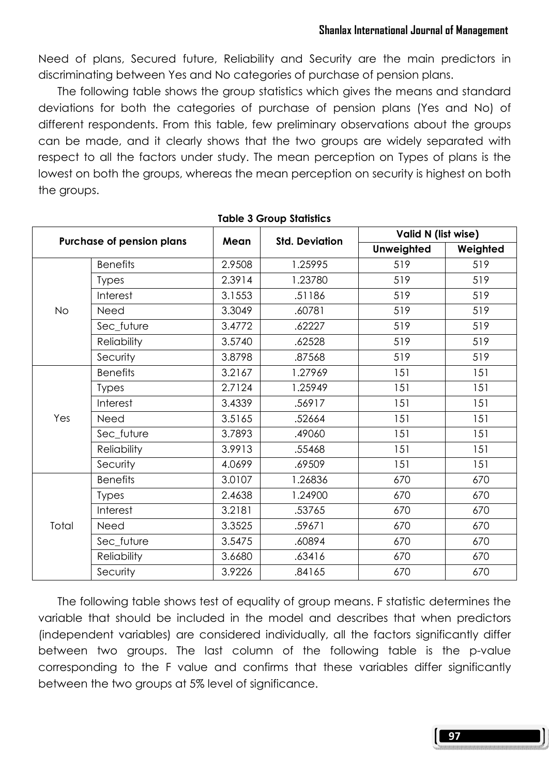Need of plans, Secured future, Reliability and Security are the main predictors in discriminating between Yes and No categories of purchase of pension plans.

 The following table shows the group statistics which gives the means and standard deviations for both the categories of purchase of pension plans (Yes and No) of different respondents. From this table, few preliminary observations about the groups can be made, and it clearly shows that the two groups are widely separated with respect to all the factors under study. The mean perception on Types of plans is the lowest on both the groups, whereas the mean perception on security is highest on both the groups.

| Purchase of pension plans |                    | Mean              | <b>Std. Deviation</b> | Valid N (list wise) |          |  |
|---------------------------|--------------------|-------------------|-----------------------|---------------------|----------|--|
|                           |                    |                   |                       | <b>Unweighted</b>   | Weighted |  |
|                           | <b>Benefits</b>    | 2.9508<br>1.25995 |                       | 519                 | 519      |  |
| <b>No</b>                 | <b>Types</b>       | 2.3914            | 1.23780               | 519                 | 519      |  |
|                           | Interest           | 3.1553            | .51186                | 519                 | 519      |  |
|                           | Need               | 3.3049            | .60781                | 519                 | 519      |  |
|                           | Sec_future         | 3.4772            | .62227                | 519                 | 519      |  |
|                           | Reliability        | 3.5740            | .62528                | 519                 | 519      |  |
|                           | Security           | 3.8798            | .87568                | 519                 | 519      |  |
| Yes                       | <b>Benefits</b>    | 3.2167            | 1.27969               | 151                 | 151      |  |
|                           | <b>Types</b>       | 2.7124            | 1.25949               | 151                 | 151      |  |
|                           | Interest           | 3.4339            | .56917                | 151                 | 151      |  |
|                           | Need               | 3.5165            | .52664                | 151                 | 151      |  |
|                           | Sec_future         | 3.7893            | .49060                | 151                 | 151      |  |
|                           | <b>Reliability</b> | 3.9913            | .55468                | 151                 | 151      |  |
|                           | Security           | 4.0699            | .69509                | 151                 | 151      |  |
|                           | <b>Benefits</b>    | 3.0107            | 1.26836               | 670                 | 670      |  |
|                           | <b>Types</b>       | 2.4638            | 1.24900               | 670                 | 670      |  |
|                           | Interest           | 3.2181            | .53765                | 670                 | 670      |  |
| Total                     | Need               | 3.3525            | .59671                | 670                 | 670      |  |
|                           | Sec_future         | 3.5475            | .60894                | 670                 | 670      |  |
|                           | <b>Reliability</b> | 3.6680            | .63416                | 670                 | 670      |  |
|                           | Security           | 3.9226            | .84165                | 670                 | 670      |  |

#### Table 3 Group Statistics

 The following table shows test of equality of group means. F statistic determines the variable that should be included in the model and describes that when predictors (independent variables) are considered individually, all the factors significantly differ between two groups. The last column of the following table is the p-value corresponding to the F value and confirms that these variables differ significantly between the two groups at 5% level of significance.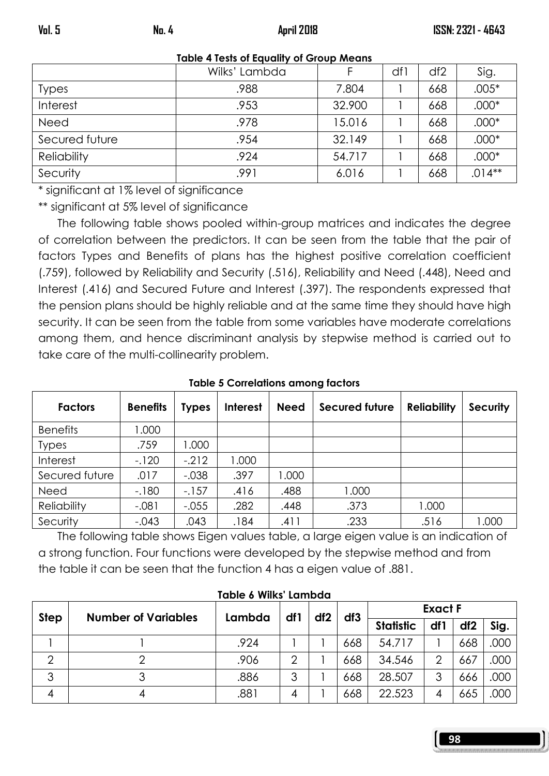| <b>NOTE</b> + TESIS OF EQUATITY OF GROUP MEDITS |               |        |     |     |          |  |  |  |  |
|-------------------------------------------------|---------------|--------|-----|-----|----------|--|--|--|--|
|                                                 | Wilks' Lambda |        | df1 | df2 | Sig.     |  |  |  |  |
| <b>Types</b>                                    | .988          | 7.804  |     | 668 | $.005*$  |  |  |  |  |
| Interest                                        | .953          | 32.900 |     | 668 | $.000*$  |  |  |  |  |
| Need                                            | .978          | 15.016 |     | 668 | $.000*$  |  |  |  |  |
| Secured future                                  | .954          | 32.149 |     | 668 | $.000*$  |  |  |  |  |
| <b>Reliability</b>                              | .924          | 54.717 |     | 668 | $.000*$  |  |  |  |  |
| Security                                        | .991          | 6.016  |     | 668 | $.014**$ |  |  |  |  |

Table 4 Tests of Equality of Group Means

\* significant at 1% level of significance

\*\* significant at 5% level of significance

 The following table shows pooled within-group matrices and indicates the degree of correlation between the predictors. It can be seen from the table that the pair of factors Types and Benefits of plans has the highest positive correlation coefficient (.759), followed by Reliability and Security (.516), Reliability and Need (.448), Need and Interest (.416) and Secured Future and Interest (.397). The respondents expressed that the pension plans should be highly reliable and at the same time they should have high security. It can be seen from the table from some variables have moderate correlations among them, and hence discriminant analysis by stepwise method is carried out to take care of the multi-collinearity problem.

| <b>Factors</b>     | <b>Benefits</b> | <b>Types</b> | <b>Interest</b> | <b>Need</b> | <b>Secured future</b> | <b>Reliability</b> | <b>Security</b> |
|--------------------|-----------------|--------------|-----------------|-------------|-----------------------|--------------------|-----------------|
| <b>Benefits</b>    | 1.000           |              |                 |             |                       |                    |                 |
| <b>Types</b>       | .759            | 000. ا       |                 |             |                       |                    |                 |
| Interest           | $-120$          | $-212$       | 1.000           |             |                       |                    |                 |
| Secured future     | .017            | $-.038$      | .397            | .000        |                       |                    |                 |
| Need               | $-180$          | $-157$       | .416            | .488        | 1.000                 |                    |                 |
| <b>Reliability</b> | $-.081$         | $-.055$      | .282            | .448        | .373                  | 1.000              |                 |
| Security           | $-.043$         | .043         | .184            | .411        | .233                  | .516               | 1.000           |

Table 5 Correlations among factors

 The following table shows Eigen values table, a large eigen value is an indication of a strong function. Four functions were developed by the stepwise method and from the table it can be seen that the function 4 has a eigen value of .881.

| <b>Step</b> | <b>Number of Variables</b> | Lambda | df1 | df2 | df3 |                  | <b>Exact F</b> |                 |      |
|-------------|----------------------------|--------|-----|-----|-----|------------------|----------------|-----------------|------|
|             |                            |        |     |     |     | <b>Statistic</b> | df1            | df <sub>2</sub> | Sig. |
|             |                            | .924   |     |     | 668 | 54.717           |                | 668             | .000 |
|             |                            | .906   | っ   |     | 668 | 34.546           | ≘              | 667             | .000 |
| 3           |                            | .886   | 3   |     | 668 | 28.507           |                | 666             | .000 |
|             |                            | .881   | 4   |     | 668 | 22.523           |                | 665             | .000 |

#### Table 6 Wilks' Lambda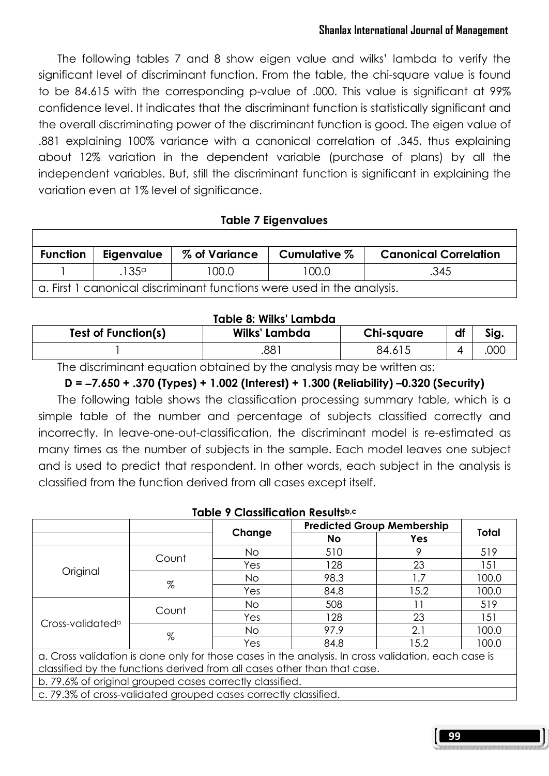### Shanlax International Journal of Management

 The following tables 7 and 8 show eigen value and wilks' lambda to verify the significant level of discriminant function. From the table, the chi-square value is found to be 84.615 with the corresponding p-value of .000. This value is significant at 99% confidence level. It indicates that the discriminant function is statistically significant and the overall discriminating power of the discriminant function is good. The eigen value of .881 explaining 100% variance with a canonical correlation of .345, thus explaining about 12% variation in the dependent variable (purchase of plans) by all the independent variables. But, still the discriminant function is significant in explaining the variation even at 1% level of significance.

### Table 7 Eigenvalues

| <b>Function</b>                                                        | Eigenvalue      | % of Variance | Cumulative % | <b>Canonical Correlation</b> |  |  |  |
|------------------------------------------------------------------------|-----------------|---------------|--------------|------------------------------|--|--|--|
|                                                                        | .135 $^{\circ}$ | 100.0         | 100.0        | .345                         |  |  |  |
| a. First 1 canonical discriminant functions were used in the analysis. |                 |               |              |                              |  |  |  |

#### Table 8: Wilks' Lambda

| <b>Test of Function(s)</b> | Wilks' Lambda | Chi-square | df | Sig. |  |  |  |  |
|----------------------------|---------------|------------|----|------|--|--|--|--|
|                            | $88^{\circ}$  | 84.615     |    | .000 |  |  |  |  |

The discriminant equation obtained by the analysis may be written as:

#### D = −7.650 + .370 (Types) + 1.002 (Interest) + 1.300 (Reliability) –0.320 (Security)

 The following table shows the classification processing summary table, which is a simple table of the number and percentage of subjects classified correctly and incorrectly. In leave-one-out-classification, the discriminant model is re-estimated as many times as the number of subjects in the sample. Each model leaves one subject and is used to predict that respondent. In other words, each subject in the analysis is classified from the function derived from all cases except itself.

| $I$ apie y Classification Results $^{u,v}$                                                          |               |        |      |                                   |                                                                |  |  |
|-----------------------------------------------------------------------------------------------------|---------------|--------|------|-----------------------------------|----------------------------------------------------------------|--|--|
|                                                                                                     |               |        |      | <b>Predicted Group Membership</b> |                                                                |  |  |
|                                                                                                     |               | Change | No   | Yes                               |                                                                |  |  |
|                                                                                                     | Count         | No.    | 510  | 9                                 | 519                                                            |  |  |
|                                                                                                     |               | Yes    | 128  | 23                                | Total<br>151<br>100.0<br>100.0<br>519<br>151<br>100.0<br>100.0 |  |  |
| Original                                                                                            | $\%$          | No.    | 98.3 | 1.7                               |                                                                |  |  |
|                                                                                                     |               | Yes    | 84.8 | 15.2                              |                                                                |  |  |
|                                                                                                     | Count<br>$\%$ | No.    | 508  | 11                                |                                                                |  |  |
| Cross-validated <sup>a</sup>                                                                        |               | Yes    | 128  | 23                                |                                                                |  |  |
|                                                                                                     |               | No.    | 97.9 | 2.1                               |                                                                |  |  |
|                                                                                                     |               | Yes    | 84.8 | 15.2                              |                                                                |  |  |
| a. Cross validation is done only for those cases in the analysis. In cross validation, each case is |               |        |      |                                   |                                                                |  |  |
| classified by the functions derived from all cases other than that case.                            |               |        |      |                                   |                                                                |  |  |
| b. 79.6% of original grouped cases correctly classified.                                            |               |        |      |                                   |                                                                |  |  |
| c. 79.3% of cross-validated grouped cases correctly classified.                                     |               |        |      |                                   |                                                                |  |  |

## Table 9 Classification Resultsb,c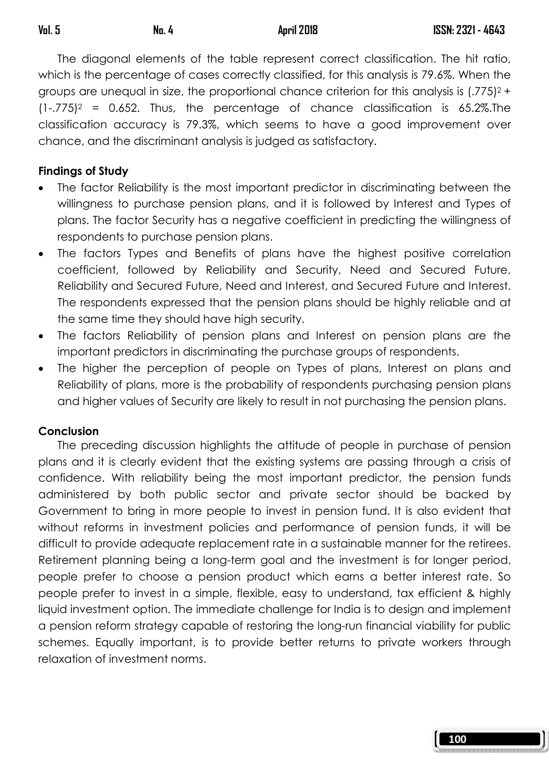The diagonal elements of the table represent correct classification. The hit ratio, which is the percentage of cases correctly classified, for this analysis is 79.6%. When the groups are unequal in size, the proportional chance criterion for this analysis is  $(.775)^2$  +  $(1-.775)^2$  = 0.652. Thus, the percentage of chance classification is 65.2%. The classification accuracy is 79.3%, which seems to have a good improvement over chance, and the discriminant analysis is judged as satisfactory.

### Findings of Study

- The factor Reliability is the most important predictor in discriminating between the willingness to purchase pension plans, and it is followed by Interest and Types of plans. The factor Security has a negative coefficient in predicting the willingness of respondents to purchase pension plans.
- The factors Types and Benefits of plans have the highest positive correlation coefficient, followed by Reliability and Security, Need and Secured Future, Reliability and Secured Future, Need and Interest, and Secured Future and Interest. The respondents expressed that the pension plans should be highly reliable and at the same time they should have high security.
- The factors Reliability of pension plans and Interest on pension plans are the important predictors in discriminating the purchase groups of respondents.
- The higher the perception of people on Types of plans, Interest on plans and Reliability of plans, more is the probability of respondents purchasing pension plans and higher values of Security are likely to result in not purchasing the pension plans.

### Conclusion

 The preceding discussion highlights the attitude of people in purchase of pension plans and it is clearly evident that the existing systems are passing through a crisis of confidence. With reliability being the most important predictor, the pension funds administered by both public sector and private sector should be backed by Government to bring in more people to invest in pension fund. It is also evident that without reforms in investment policies and performance of pension funds, it will be difficult to provide adequate replacement rate in a sustainable manner for the retirees. Retirement planning being a long-term goal and the investment is for longer period, people prefer to choose a pension product which earns a better interest rate. So people prefer to invest in a simple, flexible, easy to understand, tax efficient & highly liquid investment option. The immediate challenge for India is to design and implement a pension reform strategy capable of restoring the long-run financial viability for public schemes. Equally important, is to provide better returns to private workers through relaxation of investment norms.